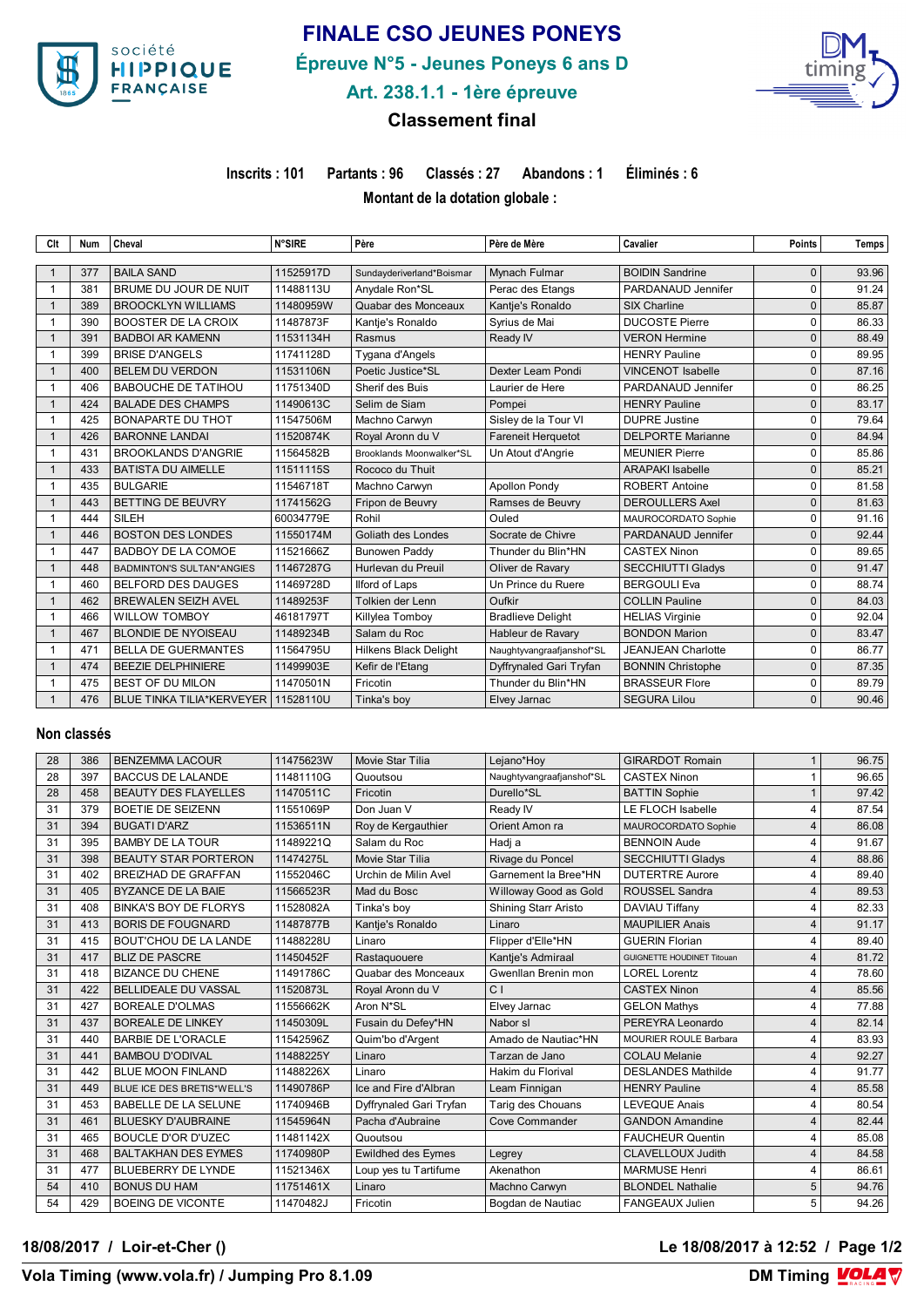

# **FINALE CSO JEUNES PONEYS**

**Épreuve N°5 - Jeunes Poneys 6 ans D**



# **Art. 238.1.1 - 1ère épreuve**

## **Classement final**

**Inscrits : 101 Partants : 96 Classés : 27 Abandons : 1 Éliminés : 6**

**Montant de la dotation globale :** 

| Clt            | <b>Num</b> | Cheval                           | <b>N°SIRE</b> | Père                         | Père de Mère              | Cavalier                  | <b>Points</b> | Temps |
|----------------|------------|----------------------------------|---------------|------------------------------|---------------------------|---------------------------|---------------|-------|
|                |            |                                  |               |                              |                           |                           |               |       |
|                | 377        | <b>BAILA SAND</b>                | 11525917D     | Sundayderiverland*Boismar    | Mynach Fulmar             | <b>BOIDIN Sandrine</b>    | 0             | 93.96 |
|                | 381        | BRUME DU JOUR DE NUIT            | 11488113U     | Anydale Ron*SL               | Perac des Etangs          | PARDANAUD Jennifer        | 0             | 91.24 |
| $\mathbf{1}$   | 389        | <b>BROOCKLYN WILLIAMS</b>        | 11480959W     | Quabar des Monceaux          | Kantje's Ronaldo          | <b>SIX Charline</b>       | 0             | 85.87 |
|                | 390        | <b>BOOSTER DE LA CROIX</b>       | 11487873F     | Kantie's Ronaldo             | Syrius de Mai             | <b>DUCOSTE Pierre</b>     | 0             | 86.33 |
| $\mathbf{1}$   | 391        | <b>BADBOI AR KAMENN</b>          | 11531134H     | Rasmus                       | Ready IV                  | <b>VERON Hermine</b>      | $\Omega$      | 88.49 |
|                | 399        | <b>BRISE D'ANGELS</b>            | 11741128D     | Tygana d'Angels              |                           | <b>HENRY Pauline</b>      | $\Omega$      | 89.95 |
| $\mathbf{1}$   | 400        | <b>BELEM DU VERDON</b>           | 11531106N     | Poetic Justice*SL            | Dexter Leam Pondi         | <b>VINCENOT Isabelle</b>  | $\Omega$      | 87.16 |
|                | 406        | <b>BABOUCHE DE TATIHOU</b>       | 11751340D     | Sherif des Buis              | Laurier de Here           | PARDANAUD Jennifer        | 0             | 86.25 |
|                | 424        | <b>BALADE DES CHAMPS</b>         | 11490613C     | Selim de Siam                | Pompei                    | <b>HENRY Pauline</b>      | 0             | 83.17 |
|                | 425        | <b>BONAPARTE DU THOT</b>         | 11547506M     | Machno Carwyn                | Sisley de la Tour VI      | <b>DUPRE Justine</b>      | 0             | 79.64 |
|                | 426        | <b>BARONNE LANDAI</b>            | 11520874K     | Royal Aronn du V             | <b>Fareneit Herquetot</b> | <b>DELPORTE Marianne</b>  | 0             | 84.94 |
| $\mathbf{1}$   | 431        | <b>BROOKLANDS D'ANGRIE</b>       | 11564582B     | Brooklands Moonwalker*SL     | Un Atout d'Angrie         | <b>MEUNIER Pierre</b>     | 0             | 85.86 |
|                | 433        | <b>BATISTA DU AIMELLE</b>        | 11511115S     | Rococo du Thuit              |                           | <b>ARAPAKI Isabelle</b>   | 0             | 85.21 |
| $\mathbf{1}$   | 435        | <b>BULGARIE</b>                  | 11546718T     | Machno Carwyn                | <b>Apollon Pondy</b>      | <b>ROBERT Antoine</b>     | 0             | 81.58 |
|                | 443        | BETTING DE BEUVRY                | 11741562G     | Fripon de Beuvry             | Ramses de Beuvry          | <b>DEROULLERS Axel</b>    | $\Omega$      | 81.63 |
| $\mathbf{1}$   | 444        | SILEH                            | 60034779E     | Rohil                        | Ouled                     | MAUROCORDATO Sophie       | 0             | 91.16 |
|                | 446        | <b>BOSTON DES LONDES</b>         | 11550174M     | Goliath des Londes           | Socrate de Chivre         | PARDANAUD Jennifer        | $\Omega$      | 92.44 |
|                | 447        | BADBOY DE LA COMOE               | 11521666Z     | <b>Bunowen Paddy</b>         | Thunder du Blin*HN        | <b>CASTEX Ninon</b>       | 0             | 89.65 |
|                | 448        | <b>BADMINTON'S SULTAN*ANGIES</b> | 11467287G     | Hurlevan du Preuil           | Oliver de Ravary          | <b>SECCHIUTTI Gladys</b>  | $\Omega$      | 91.47 |
|                | 460        | <b>BELFORD DES DAUGES</b>        | 11469728D     | Ilford of Laps               | Un Prince du Ruere        | <b>BERGOULI Eva</b>       | 0             | 88.74 |
| $\mathbf{1}$   | 462        | <b>BREWALEN SEIZH AVEL</b>       | 11489253F     | Tolkien der Lenn             | Oufkir                    | <b>COLLIN Pauline</b>     | $\Omega$      | 84.03 |
|                | 466        | <b>WILLOW TOMBOY</b>             | 46181797T     | Killylea Tomboy              | <b>Bradlieve Delight</b>  | <b>HELIAS Virginie</b>    | 0             | 92.04 |
| $\mathbf{1}$   | 467        | <b>BLONDIE DE NYOISEAU</b>       | 11489234B     | Salam du Roc                 | Hableur de Ravary         | <b>BONDON Marion</b>      | $\Omega$      | 83.47 |
|                | 471        | <b>BELLA DE GUERMANTES</b>       | 11564795U     | <b>Hilkens Black Delight</b> | Naughtyvangraafjanshof*SL | <b>JEANJEAN Charlotte</b> | 0             | 86.77 |
| $\mathbf{1}$   | 474        | <b>BEEZIE DELPHINIERE</b>        | 11499903E     | Kefir de l'Etang             | Dyffrynaled Gari Tryfan   | <b>BONNIN Christophe</b>  | $\Omega$      | 87.35 |
|                | 475        | <b>BEST OF DU MILON</b>          | 11470501N     | Fricotin                     | Thunder du Blin*HN        | <b>BRASSEUR Flore</b>     | 0             | 89.79 |
| $\overline{1}$ | 476        | <b>BLUE TINKA TILIA*KERVEYER</b> | 11528110U     | Tinka's boy                  | Elvey Jarnac              | <b>SEGURA Lilou</b>       | $\Omega$      | 90.46 |

### **Non classés**

| 28 | 386 | <b>BENZEMMA LACOUR</b>            | 11475623W | Movie Star Tilia          | Lejano*Hoy                  | <b>GIRARDOT Romain</b>            |                | 96.75 |
|----|-----|-----------------------------------|-----------|---------------------------|-----------------------------|-----------------------------------|----------------|-------|
| 28 | 397 | <b>BACCUS DE LALANDE</b>          | 11481110G | Quoutsou                  | Naughtyvangraafjanshof*SL   | <b>CASTEX Ninon</b>               |                | 96.65 |
| 28 | 458 | <b>BEAUTY DES FLAYELLES</b>       | 11470511C | Fricotin                  | Durello*SL                  | <b>BATTIN Sophie</b>              |                | 97.42 |
| 31 | 379 | <b>BOETIE DE SEIZENN</b>          | 11551069P | Don Juan V                | Ready IV                    | LE FLOCH Isabelle                 | 4              | 87.54 |
| 31 | 394 | <b>BUGATI D'ARZ</b>               | 11536511N | Roy de Kergauthier        | Orient Amon ra              | MAUROCORDATO Sophie               | $\overline{4}$ | 86.08 |
| 31 | 395 | <b>BAMBY DE LA TOUR</b>           | 11489221Q | Salam du Roc              | Hadj a                      | <b>BENNOIN Aude</b>               | Δ              | 91.67 |
| 31 | 398 | <b>BEAUTY STAR PORTERON</b>       | 11474275L | Movie Star Tilia          | Rivage du Poncel            | <b>SECCHIUTTI Gladys</b>          | 4              | 88.86 |
| 31 | 402 | BREIZHAD DE GRAFFAN               | 11552046C | Urchin de Milin Avel      | Garnement la Bree*HN        | <b>DUTERTRE Aurore</b>            | $\overline{4}$ | 89.40 |
| 31 | 405 | <b>BYZANCE DE LA BAIE</b>         | 11566523R | Mad du Bosc               | Willoway Good as Gold       | <b>ROUSSEL Sandra</b>             | $\overline{4}$ | 89.53 |
| 31 | 408 | <b>BINKA'S BOY DE FLORYS</b>      | 11528082A | Tinka's bov               | <b>Shining Starr Aristo</b> | DAVIAU Tiffany                    | 4              | 82.33 |
| 31 | 413 | <b>BORIS DE FOUGNARD</b>          | 11487877B | Kantje's Ronaldo          | Linaro                      | <b>MAUPILIER Anais</b>            | $\overline{4}$ | 91.17 |
| 31 | 415 | <b>BOUT'CHOU DE LA LANDE</b>      | 11488228U | Linaro                    | Flipper d'Elle*HN           | <b>GUERIN Florian</b>             | 4              | 89.40 |
| 31 | 417 | <b>BLIZ DE PASCRE</b>             | 11450452F | Rastaquouere              | Kantje's Admiraal           | <b>GUIGNETTE HOUDINET Titouan</b> | 4              | 81.72 |
| 31 | 418 | <b>BIZANCE DU CHENE</b>           | 11491786C | Quabar des Monceaux       | Gwenllan Brenin mon         | <b>LOREL Lorentz</b>              | 4              | 78.60 |
| 31 | 422 | <b>BELLIDEALE DU VASSAL</b>       | 11520873L | Royal Aronn du V          | C <sub>1</sub>              | <b>CASTEX Ninon</b>               | 4              | 85.56 |
| 31 | 427 | <b>BOREALE D'OLMAS</b>            | 11556662K | Aron N*SL                 | Elvey Jarnac                | <b>GELON Mathys</b>               | $\overline{4}$ | 77.88 |
| 31 | 437 | <b>BOREALE DE LINKEY</b>          | 11450309L | Fusain du Defey*HN        | Nabor sl                    | PEREYRA Leonardo                  | 4              | 82.14 |
| 31 | 440 | <b>BARBIE DE L'ORACLE</b>         | 11542596Z | Quim'bo d'Argent          | Amado de Nautiac*HN         | <b>MOURIER ROULE Barbara</b>      | 4              | 83.93 |
| 31 | 441 | <b>BAMBOU D'ODIVAL</b>            | 11488225Y | Linaro                    | Tarzan de Jano              | <b>COLAU Melanie</b>              | 4              | 92.27 |
| 31 | 442 | <b>BLUE MOON FINLAND</b>          | 11488226X | Linaro                    | Hakim du Florival           | <b>DESLANDES Mathilde</b>         | 4              | 91.77 |
| 31 | 449 | <b>BLUE ICE DES BRETIS*WELL'S</b> | 11490786P | Ice and Fire d'Albran     | Leam Finnigan               | <b>HENRY Pauline</b>              | 4              | 85.58 |
| 31 | 453 | <b>BABELLE DE LA SELUNE</b>       | 11740946B | Dyffrynaled Gari Tryfan   | Tarig des Chouans           | <b>LEVEQUE Anais</b>              | 4              | 80.54 |
| 31 | 461 | <b>BLUESKY D'AUBRAINE</b>         | 11545964N | Pacha d'Aubraine          | <b>Cove Commander</b>       | <b>GANDON Amandine</b>            | 4              | 82.44 |
| 31 | 465 | <b>BOUCLE D'OR D'UZEC</b>         | 11481142X | Quoutsou                  |                             | <b>FAUCHEUR Quentin</b>           | 4              | 85.08 |
| 31 | 468 | <b>BALTAKHAN DES EYMES</b>        | 11740980P | <b>Ewildhed des Eymes</b> | Legrey                      | <b>CLAVELLOUX Judith</b>          | $\overline{4}$ | 84.58 |
| 31 | 477 | <b>BLUEBERRY DE LYNDE</b>         | 11521346X | Loup yes tu Tartifume     | Akenathon                   | <b>MARMUSE Henri</b>              | 4              | 86.61 |
| 54 | 410 | <b>BONUS DU HAM</b>               | 11751461X | Linaro                    | Machno Carwyn               | <b>BLONDEL Nathalie</b>           | 5              | 94.76 |
| 54 | 429 | <b>BOEING DE VICONTE</b>          | 11470482J | Fricotin                  | Bogdan de Nautiac           | <b>FANGEAUX Julien</b>            | 5              | 94.26 |

**18/08/2017 / Loir-et-Cher () Le 18/08/2017 à 12:52 / Page 1/2**